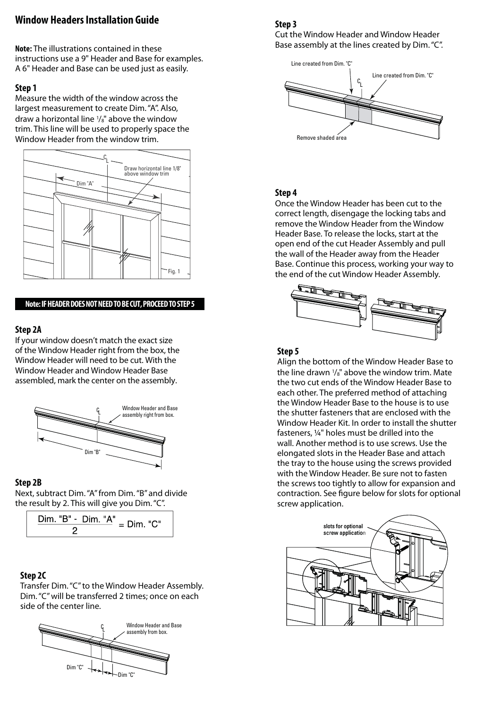# **Window Headers Installation Guide**

**Note:** The illustrations contained in these instructions use a 9" Header and Base for examples. A 6" Header and Base can be used just as easily.

### **Step 1**

Measure the width of the window across the largest measurement to create Dim. "A". Also, draw a horizontal line 1/8" above the window trim. This line will be used to properly space the Window Header from the window trim.



#### **Note: IF HEADER DOES NOT NEED TO BE CUT, PROCEED TO STEP 5**

#### **Step 2A**

If your window doesn't match the exact size of the Window Header right from the box, the Window Header will need to be cut. With the Window Header and Window Header Base assembled, mark the center on the assembly.



#### **Step 2B**

Next, subtract Dim. "A" from Dim. "B" and divide the result by 2. This will give you Dim. "C".



## **Step 2C**

Transfer Dim. "C" to the Window Header Assembly. Dim. "C" will be transferred 2 times; once on each side of the center line.



### **Step 3**

Cut the Window Header and Window Header Base assembly at the lines created by Dim. "C".



### **Step 4**

Once the Window Header has been cut to the correct length, disengage the locking tabs and remove the Window Header from the Window Header Base. To release the locks, start at the open end of the cut Header Assembly and pull the wall of the Header away from the Header Base. Continue this process, working your way to the end of the cut Window Header Assembly.



#### **Step 5**

Align the bottom of the Window Header Base to the line drawn 1/8" above the window trim. Mate the two cut ends of the Window Header Base to each other. The preferred method of attaching the Window Header Base to the house is to use the shutter fasteners that are enclosed with the Window Header Kit. In order to install the shutter fasteners, ¼" holes must be drilled into the wall. Another method is to use screws. Use the elongated slots in the Header Base and attach the tray to the house using the screws provided with the Window Header. Be sure not to fasten the screws too tightly to allow for expansion and contraction. See figure below for slots for optional screw application.